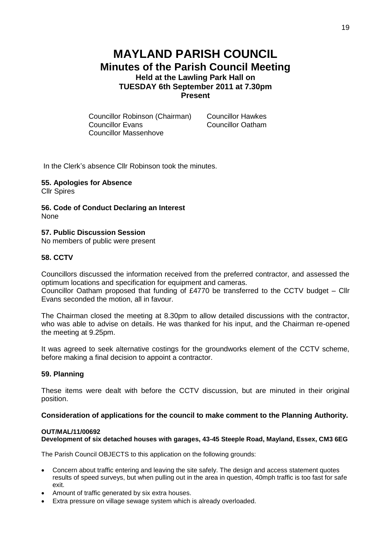# **MAYLAND PARISH COUNCIL Minutes of the Parish Council Meeting Held at the Lawling Park Hall on TUESDAY 6th September 2011 at 7.30pm Present**

Councillor Robinson (Chairman) Councillor Hawkes **Councillor Evans** Councillor Massenhove

In the Clerk's absence Cllr Robinson took the minutes.

**55. Apologies for Absence** Cllr Spires

**56. Code of Conduct Declaring an Interest** None

**57. Public Discussion Session** No members of public were present

**58. CCTV**

Councillors discussed the information received from the preferred contractor, and assessed the optimum locations and specification for equipment and cameras.

Councillor Oatham proposed that funding of £4770 be transferred to the CCTV budget – Cllr Evans seconded the motion, all in favour.

The Chairman closed the meeting at 8.30pm to allow detailed discussions with the contractor, who was able to advise on details. He was thanked for his input, and the Chairman re-opened the meeting at 9.25pm.

It was agreed to seek alternative costings for the groundworks element of the CCTV scheme, before making a final decision to appoint a contractor.

## **59. Planning**

These items were dealt with before the CCTV discussion, but are minuted in their original position.

## **Consideration of applications for the council to make comment to the Planning Authority.**

#### **OUT/MAL/11/00692**

**Development of six detached houses with garages, 43-45 Steeple Road, Mayland, Essex, CM3 6EG**

The Parish Council OBJECTS to this application on the following grounds:

- Concern about traffic entering and leaving the site safely. The design and access statement quotes results of speed surveys, but when pulling out in the area in question, 40mph traffic is too fast for safe exit.
- Amount of traffic generated by six extra houses.
- Extra pressure on village sewage system which is already overloaded.